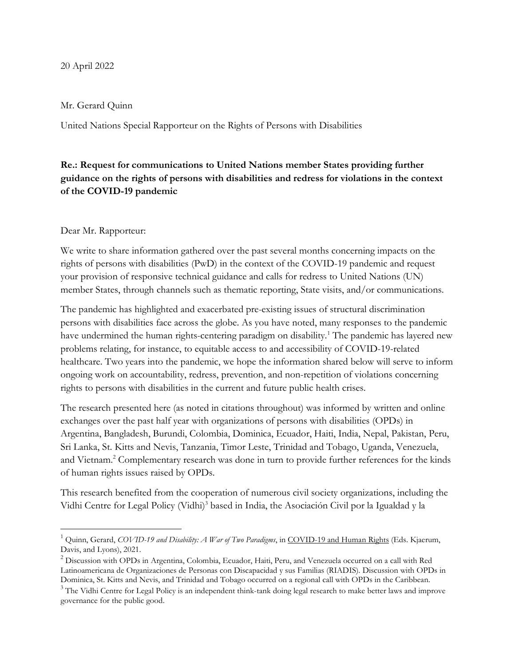#### 20 April 2022

#### Mr. Gerard Quinn

United Nations Special Rapporteur on the Rights of Persons with Disabilities

# Re.: Request for communications to United Nations member States providing further guidance on the rights of persons with disabilities and redress for violations in the context of the COVID-19 pandemic

#### Dear Mr. Rapporteur:

We write to share information gathered over the past several months concerning impacts on the rights of persons with disabilities (PwD) in the context of the COVID-19 pandemic and request your provision of responsive technical guidance and calls for redress to United Nations (UN) member States, through channels such as thematic reporting, State visits, and/or communications.

The pandemic has highlighted and exacerbated pre-existing issues of structural discrimination persons with disabilities face across the globe. As you have noted, many responses to the pandemic have undermined the human rights-centering paradigm on disability.<sup>1</sup> The pandemic has layered new problems relating, for instance, to equitable access to and accessibility of COVID-19-related healthcare. Two years into the pandemic, we hope the information shared below will serve to inform ongoing work on accountability, redress, prevention, and non-repetition of violations concerning rights to persons with disabilities in the current and future public health crises.

The research presented here (as noted in citations throughout) was informed by written and online exchanges over the past half year with organizations of persons with disabilities (OPDs) in Argentina, Bangladesh, Burundi, Colombia, Dominica, Ecuador, Haiti, India, Nepal, Pakistan, Peru, Sri Lanka, St. Kitts and Nevis, Tanzania, Timor Leste, Trinidad and Tobago, Uganda, Venezuela, and Vietnam.<sup>2</sup> Complementary research was done in turn to provide further references for the kinds of human rights issues raised by OPDs.

This research benefited from the cooperation of numerous civil society organizations, including the Vidhi Centre for Legal Policy (Vidhi)<sup>3</sup> based in India, the Asociación Civil por la Igualdad y la

<sup>&</sup>lt;sup>1</sup> Quinn, Gerard, COVID-19 and Disability: A War of Two Paradigms, in COVID-19 and Human Rights (Eds. Kjaerum, Davis, and Lyons), 2021.

 $^2$  Discussion with OPDs in Argentina, Colombia, Ecuador, Haiti, Peru, and Venezuela occurred on a call with Red Latinoamericana de Organizaciones de Personas con Discapacidad y sus Familias (RIADIS). Discussion with OPDs in Dominica, St. Kitts and Nevis, and Trinidad and Tobago occurred on a regional call with OPDs in the Caribbean.

 $3$  The Vidhi Centre for Legal Policy is an independent think-tank doing legal research to make better laws and improve governance for the public good.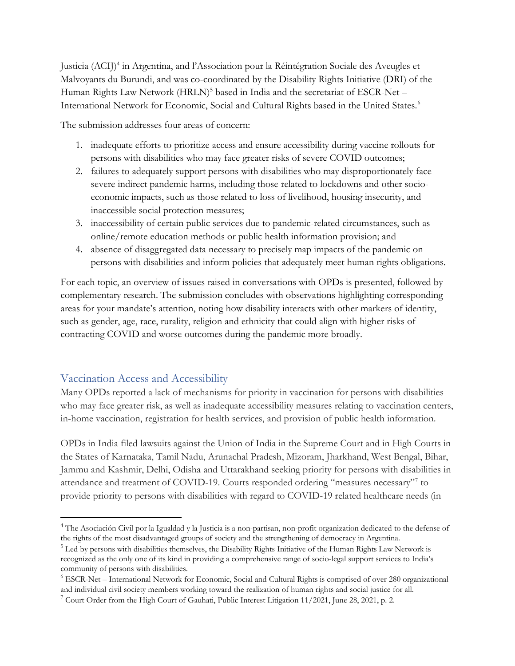Justicia (ACIJ)<sup>4</sup> in Argentina, and l'Association pour la Réintégration Sociale des Aveugles et Malvoyants du Burundi, and was co-coordinated by the Disability Rights Initiative (DRI) of the Human Rights Law Network (HRLN)<sup>5</sup> based in India and the secretariat of ESCR-Net -International Network for Economic, Social and Cultural Rights based in the United States.<sup>6</sup>

The submission addresses four areas of concern:

- 1. inadequate efforts to prioritize access and ensure accessibility during vaccine rollouts for persons with disabilities who may face greater risks of severe COVID outcomes;
- 2. failures to adequately support persons with disabilities who may disproportionately face severe indirect pandemic harms, including those related to lockdowns and other socioeconomic impacts, such as those related to loss of livelihood, housing insecurity, and inaccessible social protection measures;
- 3. inaccessibility of certain public services due to pandemic-related circumstances, such as online/remote education methods or public health information provision; and
- 4. absence of disaggregated data necessary to precisely map impacts of the pandemic on persons with disabilities and inform policies that adequately meet human rights obligations.

For each topic, an overview of issues raised in conversations with OPDs is presented, followed by complementary research. The submission concludes with observations highlighting corresponding areas for your mandate's attention, noting how disability interacts with other markers of identity, such as gender, age, race, rurality, religion and ethnicity that could align with higher risks of contracting COVID and worse outcomes during the pandemic more broadly.

## Vaccination Access and Accessibility

Many OPDs reported a lack of mechanisms for priority in vaccination for persons with disabilities who may face greater risk, as well as inadequate accessibility measures relating to vaccination centers, in-home vaccination, registration for health services, and provision of public health information.

OPDs in India filed lawsuits against the Union of India in the Supreme Court and in High Courts in the States of Karnataka, Tamil Nadu, Arunachal Pradesh, Mizoram, Jharkhand, West Bengal, Bihar, Jammu and Kashmir, Delhi, Odisha and Uttarakhand seeking priority for persons with disabilities in attendance and treatment of COVID-19. Courts responded ordering "measures necessary"<sup>7</sup> to provide priority to persons with disabilities with regard to COVID-19 related healthcare needs (in

<sup>&</sup>lt;sup>4</sup> The Asociación Civil por la Igualdad y la Justicia is a non-partisan, non-profit organization dedicated to the defense of the rights of the most disadvantaged groups of society and the strengthening of democracy in Argentina.

<sup>&</sup>lt;sup>5</sup> Led by persons with disabilities themselves, the Disability Rights Initiative of the Human Rights Law Network is recognized as the only one of its kind in providing a comprehensive range of socio-legal support services to India's community of persons with disabilities.

<sup>&</sup>lt;sup>6</sup> ESCR-Net – International Network for Economic, Social and Cultural Rights is comprised of over 280 organizational and individual civil society members working toward the realization of human rights and social justice for all.

<sup>&</sup>lt;sup>7</sup> Court Order from the High Court of Gauhati, Public Interest Litigation 11/2021, June 28, 2021, p. 2.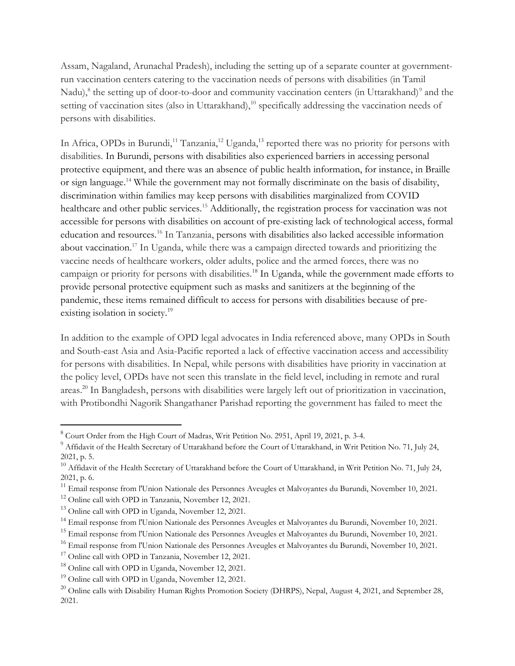Assam, Nagaland, Arunachal Pradesh), including the setting up of a separate counter at governmentrun vaccination centers catering to the vaccination needs of persons with disabilities (in Tamil Nadu),<sup>8</sup> the setting up of door-to-door and community vaccination centers (in Uttarakhand)<sup>9</sup> and the setting of vaccination sites (also in Uttarakhand),<sup>10</sup> specifically addressing the vaccination needs of persons with disabilities.

In Africa, OPDs in Burundi,<sup>11</sup> Tanzania,<sup>12</sup> Uganda,<sup>13</sup> reported there was no priority for persons with disabilities. In Burundi, persons with disabilities also experienced barriers in accessing personal protective equipment, and there was an absence of public health information, for instance, in Braille or sign language.<sup>14</sup> While the government may not formally discriminate on the basis of disability, discrimination within families may keep persons with disabilities marginalized from COVID healthcare and other public services.<sup>15</sup> Additionally, the registration process for vaccination was not accessible for persons with disabilities on account of pre-existing lack of technological access, formal education and resources.<sup>16</sup> In Tanzania, persons with disabilities also lacked accessible information about vaccination.<sup>17</sup> In Uganda, while there was a campaign directed towards and prioritizing the vaccine needs of healthcare workers, older adults, police and the armed forces, there was no campaign or priority for persons with disabilities.<sup>18</sup> In Uganda, while the government made efforts to provide personal protective equipment such as masks and sanitizers at the beginning of the pandemic, these items remained difficult to access for persons with disabilities because of preexisting isolation in society.<sup>19</sup>

In addition to the example of OPD legal advocates in India referenced above, many OPDs in South and South-east Asia and Asia-Pacific reported a lack of effective vaccination access and accessibility for persons with disabilities. In Nepal, while persons with disabilities have priority in vaccination at the policy level, OPDs have not seen this translate in the field level, including in remote and rural areas.<sup>20</sup> In Bangladesh, persons with disabilities were largely left out of prioritization in vaccination, with Protibondhi Nagorik Shangathaner Parishad reporting the government has failed to meet the

<sup>&</sup>lt;sup>8</sup> Court Order from the High Court of Madras, Writ Petition No. 2951, April 19, 2021, p. 3-4.

 $^9$  Affidavit of the Health Secretary of Uttarakhand before the Court of Uttarakhand, in Writ Petition No. 71, July 24, 2021, p. 5.

 $^{10}$  Affidavit of the Health Secretary of Uttarakhand before the Court of Uttarakhand, in Writ Petition No. 71, July 24, 2021, p. 6.

<sup>&</sup>lt;sup>11</sup> Email response from l'Union Nationale des Personnes Aveugles et Malvoyantes du Burundi, November 10, 2021.

<sup>12</sup> Online call with OPD in Tanzania, November 12, 2021.

<sup>&</sup>lt;sup>13</sup> Online call with OPD in Uganda, November 12, 2021.

<sup>&</sup>lt;sup>14</sup> Email response from l'Union Nationale des Personnes Aveugles et Malvoyantes du Burundi, November 10, 2021.

<sup>&</sup>lt;sup>15</sup> Email response from l'Union Nationale des Personnes Aveugles et Malvoyantes du Burundi, November 10, 2021.

<sup>&</sup>lt;sup>16</sup> Email response from l'Union Nationale des Personnes Aveugles et Malvoyantes du Burundi, November 10, 2021.

<sup>&</sup>lt;sup>17</sup> Online call with OPD in Tanzania, November 12, 2021.

<sup>&</sup>lt;sup>18</sup> Online call with OPD in Uganda, November 12, 2021.

<sup>19</sup> Online call with OPD in Uganda, November 12, 2021.

 $^{20}$  Online calls with Disability Human Rights Promotion Society (DHRPS), Nepal, August 4, 2021, and September 28, 2021.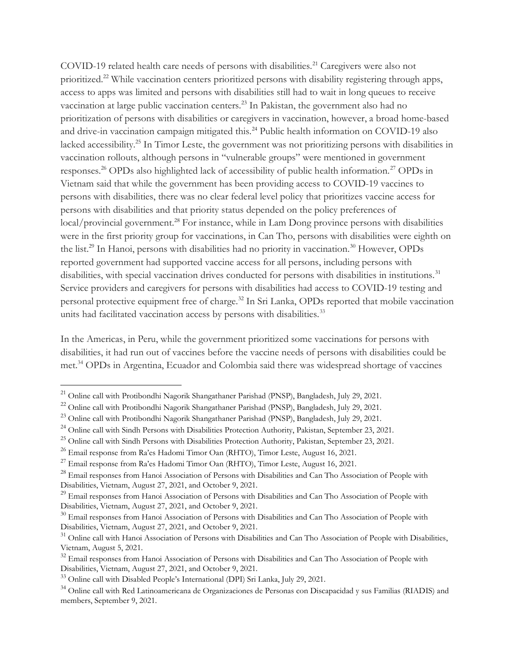COVID-19 related health care needs of persons with disabilities.<sup>21</sup> Caregivers were also not prioritized.<sup>22</sup> While vaccination centers prioritized persons with disability registering through apps, access to apps was limited and persons with disabilities still had to wait in long queues to receive vaccination at large public vaccination centers.<sup>23</sup> In Pakistan, the government also had no prioritization of persons with disabilities or caregivers in vaccination, however, a broad home-based and drive-in vaccination campaign mitigated this.<sup>24</sup> Public health information on COVID-19 also lacked accessibility.<sup>25</sup> In Timor Leste, the government was not prioritizing persons with disabilities in vaccination rollouts, although persons in "vulnerable groups" were mentioned in government responses.<sup>26</sup> OPDs also highlighted lack of accessibility of public health information.<sup>27</sup> OPDs in Vietnam said that while the government has been providing access to COVID-19 vaccines to persons with disabilities, there was no clear federal level policy that prioritizes vaccine access for persons with disabilities and that priority status depended on the policy preferences of local/provincial government.<sup>28</sup> For instance, while in Lam Dong province persons with disabilities were in the first priority group for vaccinations, in Can Tho, persons with disabilities were eighth on the list.<sup>29</sup> In Hanoi, persons with disabilities had no priority in vaccination.<sup>30</sup> However, OPDs reported government had supported vaccine access for all persons, including persons with disabilities, with special vaccination drives conducted for persons with disabilities in institutions.<sup>31</sup> Service providers and caregivers for persons with disabilities had access to COVID-19 testing and personal protective equipment free of charge.<sup>32</sup> In Sri Lanka, OPDs reported that mobile vaccination units had facilitated vaccination access by persons with disabilities.<sup>33</sup>

In the Americas, in Peru, while the government prioritized some vaccinations for persons with disabilities, it had run out of vaccines before the vaccine needs of persons with disabilities could be met.<sup>34</sup> OPDs in Argentina, Ecuador and Colombia said there was widespread shortage of vaccines

<sup>&</sup>lt;sup>21</sup> Online call with Protibondhi Nagorik Shangathaner Parishad (PNSP), Bangladesh, July 29, 2021.

<sup>&</sup>lt;sup>22</sup> Online call with Protibondhi Nagorik Shangathaner Parishad (PNSP), Bangladesh, July 29, 2021.

<sup>&</sup>lt;sup>23</sup> Online call with Protibondhi Nagorik Shangathaner Parishad (PNSP), Bangladesh, July 29, 2021.

<sup>&</sup>lt;sup>24</sup> Online call with Sindh Persons with Disabilities Protection Authority, Pakistan, September 23, 2021.

<sup>&</sup>lt;sup>25</sup> Online call with Sindh Persons with Disabilities Protection Authority, Pakistan, September 23, 2021.

<sup>&</sup>lt;sup>26</sup> Email response from Ra'es Hadomi Timor Oan (RHTO), Timor Leste, August 16, 2021.

 $^{27}$  Email response from Ra'es Hadomi Timor Oan (RHTO), Timor Leste, August 16, 2021.

<sup>&</sup>lt;sup>28</sup> Email responses from Hanoi Association of Persons with Disabilities and Can Tho Association of People with Disabilities, Vietnam, August 27, 2021, and October 9, 2021.

<sup>&</sup>lt;sup>29</sup> Email responses from Hanoi Association of Persons with Disabilities and Can Tho Association of People with Disabilities, Vietnam, August 27, 2021, and October 9, 2021.

<sup>&</sup>lt;sup>30</sup> Email responses from Hanoi Association of Persons with Disabilities and Can Tho Association of People with Disabilities, Vietnam, August 27, 2021, and October 9, 2021.

<sup>&</sup>lt;sup>31</sup> Online call with Hanoi Association of Persons with Disabilities and Can Tho Association of People with Disabilities, Vietnam, August 5, 2021.

<sup>&</sup>lt;sup>32</sup> Email responses from Hanoi Association of Persons with Disabilities and Can Tho Association of People with Disabilities, Vietnam, August 27, 2021, and October 9, 2021.

<sup>33</sup> Online call with Disabled People's International (DPI) Sri Lanka, July 29, 2021.

<sup>&</sup>lt;sup>34</sup> Online call with Red Latinoamericana de Organizaciones de Personas con Discapacidad y sus Familias (RIADIS) and members, September 9, 2021.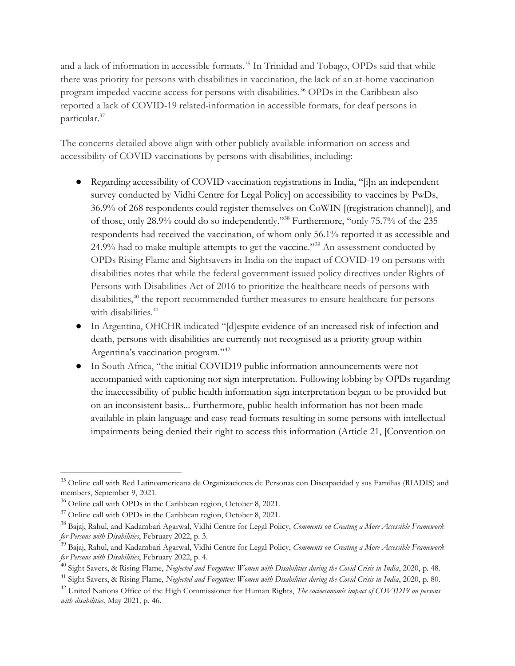and a lack of information in accessible formats.<sup>35</sup> In Trinidad and Tobago, OPDs said that while there was priority for persons with disabilities in vaccination, the lack of an at-home vaccination program impeded vaccine access for persons with disabilities.<sup>36</sup> OPDs in the Caribbean also reported a lack of COVID-19 related-information in accessible formats, for deaf persons in particular.<sup>37</sup>

The concerns detailed above align with other publicly available information on access and accessibility of COVID vaccinations by persons with disabilities, including:

- Regarding accessibility of COVID vaccination registrations in India, "[i]n an independent survey conducted by Vidhi Centre for Legal Policy] on accessibility to vaccines by PwDs, 36.9% of 268 respondents could register themselves on CoWIN [(registration channel)], and of those, only 28.9% could do so independently."<sup>38</sup> Furthermore, "only 75.7% of the 235 respondents had received the vaccination, of whom only 56.1% reported it as accessible and 24.9% had to make multiple attempts to get the vaccine."<sup>39</sup> An assessment conducted by OPDs Rising Flame and Sightsavers in India on the impact of COVID-19 on persons with disabilities notes that while the federal government issued policy directives under Rights of Persons with Disabilities Act of 2016 to prioritize the healthcare needs of persons with disabilities,<sup>40</sup> the report recommended further measures to ensure healthcare for persons with disabilities.<sup>41</sup>
- In Argentina, OHCHR indicated "[d]espite evidence of an increased risk of infection and death, persons with disabilities are currently not recognised as a priority group within Argentina's vaccination program."<sup>42</sup>
- In South Africa, "the initial COVID19 public information announcements were not accompanied with captioning nor sign interpretation. Following lobbing by OPDs regarding the inaccessibility of public health information sign interpretation began to be provided but on an inconsistent basis... Furthermore, public health information has not been made available in plain language and easy read formats resulting in some persons with intellectual impairments being denied their right to access this information (Article 21, [Convention on

<sup>&</sup>lt;sup>35</sup> Online call with Red Latinoamericana de Organizaciones de Personas con Discapacidad y sus Familias (RIADIS) and members, September 9, 2021.

<sup>36</sup> Online call with OPDs in the Caribbean region, October 8, 2021.

<sup>&</sup>lt;sup>37</sup> Online call with OPDs in the Caribbean region, October 8, 2021.

<sup>&</sup>lt;sup>38</sup> Bajaj, Rahul, and Kadambari Agarwal, Vidhi Centre for Legal Policy, Comments on Creating a More Accessible Framework for Persons with Disabilities, February 2022, p. 3.

<sup>&</sup>lt;sup>39</sup> Bajaj, Rahul, and Kadambari Agarwal, Vidhi Centre for Legal Policy, Comments on Creating a More Accessible Framework for Persons with Disabilities, February 2022, p. 4.

 $^{40}$  Sight Savers, & Rising Flame, Neglected and Forgotten: Women with Disabilities during the Covid Crisis in India, 2020, p. 48.

<sup>&</sup>lt;sup>41</sup> Sight Savers, & Rising Flame, Neglected and Forgotten: Women with Disabilities during the Covid Crisis in India, 2020, p. 80.

 $^{42}$  United Nations Office of the High Commissioner for Human Rights, The socioeconomic impact of COVID19 on persons with disabilities, May 2021, p. 46.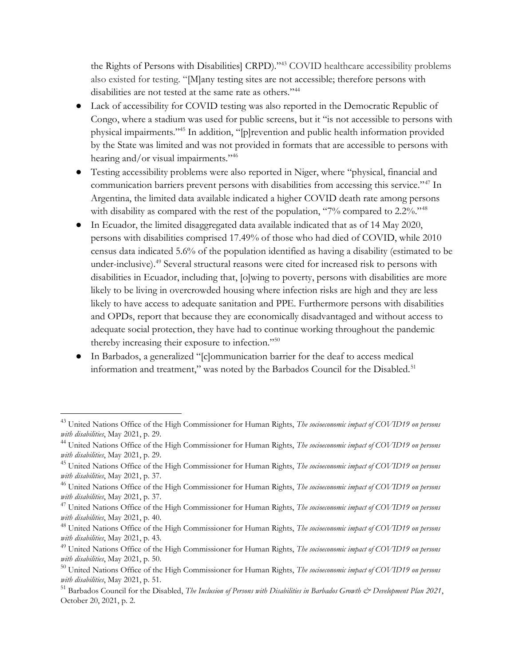the Rights of Persons with Disabilities] CRPD)."<sup>43</sup> COVID healthcare accessibility problems also existed for testing. "[M]any testing sites are not accessible; therefore persons with disabilities are not tested at the same rate as others."<sup>44</sup>

- Lack of accessibility for COVID testing was also reported in the Democratic Republic of Congo, where a stadium was used for public screens, but it "is not accessible to persons with physical impairments."<sup>45</sup> In addition, "[p]revention and public health information provided by the State was limited and was not provided in formats that are accessible to persons with hearing and/or visual impairments."<sup>46</sup>
- Testing accessibility problems were also reported in Niger, where "physical, financial and communication barriers prevent persons with disabilities from accessing this service."<sup>47</sup> In Argentina, the limited data available indicated a higher COVID death rate among persons with disability as compared with the rest of the population, "7% compared to 2.2%."<sup>48</sup>
- In Ecuador, the limited disaggregated data available indicated that as of 14 May 2020, persons with disabilities comprised 17.49% of those who had died of COVID, while 2010 census data indicated 5.6% of the population identified as having a disability (estimated to be under-inclusive).<sup>49</sup> Several structural reasons were cited for increased risk to persons with disabilities in Ecuador, including that, [o]wing to poverty, persons with disabilities are more likely to be living in overcrowded housing where infection risks are high and they are less likely to have access to adequate sanitation and PPE. Furthermore persons with disabilities and OPDs, report that because they are economically disadvantaged and without access to adequate social protection, they have had to continue working throughout the pandemic thereby increasing their exposure to infection."<sup>50</sup>
- In Barbados, a generalized "[c]ommunication barrier for the deaf to access medical information and treatment," was noted by the Barbados Council for the Disabled.<sup>51</sup>

<sup>&</sup>lt;sup>43</sup> United Nations Office of the High Commissioner for Human Rights, The socioeconomic impact of COVID19 on persons with disabilities, May 2021, p. 29.

<sup>&</sup>lt;sup>44</sup> United Nations Office of the High Commissioner for Human Rights, The socioeconomic impact of COVID19 on persons with disabilities, May 2021, p. 29.

<sup>&</sup>lt;sup>45</sup> United Nations Office of the High Commissioner for Human Rights, The socioeconomic impact of COVID19 on persons with disabilities, May 2021, p. 37.

 $^{46}$  United Nations Office of the High Commissioner for Human Rights, The socioeconomic impact of COVID19 on persons with disabilities, May 2021, p. 37.

 $47$  United Nations Office of the High Commissioner for Human Rights, The socioeconomic impact of COVID19 on persons with disabilities, May 2021, p. 40.

<sup>&</sup>lt;sup>48</sup> United Nations Office of the High Commissioner for Human Rights, The socioeconomic impact of COVID19 on persons with disabilities, May 2021, p. 43.

 $^{49}$  United Nations Office of the High Commissioner for Human Rights, The socioeconomic impact of COVID19 on persons with disabilities, May 2021, p. 50.

 $50$  United Nations Office of the High Commissioner for Human Rights, The socioeconomic impact of COVID19 on persons with disabilities, May 2021, p. 51.

 $51$  Barbados Council for the Disabled, The Inclusion of Persons with Disabilities in Barbados Growth  $\dot{\mathcal{C}}$  Development Plan 2021, October 20, 2021, p. 2.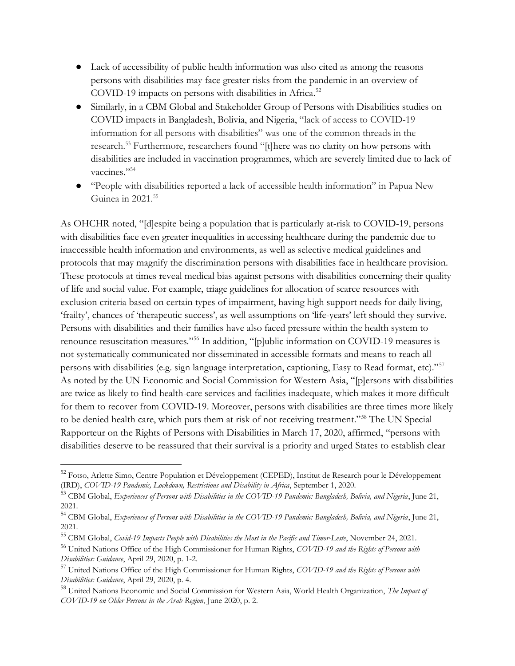- Lack of accessibility of public health information was also cited as among the reasons persons with disabilities may face greater risks from the pandemic in an overview of COVID-19 impacts on persons with disabilities in Africa.<sup>52</sup>
- Similarly, in a CBM Global and Stakeholder Group of Persons with Disabilities studies on COVID impacts in Bangladesh, Bolivia, and Nigeria, "lack of access to COVID-19 information for all persons with disabilities" was one of the common threads in the research.<sup>53</sup> Furthermore, researchers found "[t]here was no clarity on how persons with disabilities are included in vaccination programmes, which are severely limited due to lack of vaccines."<sup>54</sup>
- "People with disabilities reported a lack of accessible health information" in Papua New Guinea in 2021.<sup>55</sup>

As OHCHR noted, "[d]espite being a population that is particularly at-risk to COVID-19, persons with disabilities face even greater inequalities in accessing healthcare during the pandemic due to inaccessible health information and environments, as well as selective medical guidelines and protocols that may magnify the discrimination persons with disabilities face in healthcare provision. These protocols at times reveal medical bias against persons with disabilities concerning their quality of life and social value. For example, triage guidelines for allocation of scarce resources with exclusion criteria based on certain types of impairment, having high support needs for daily living, 'frailty', chances of 'therapeutic success', as well assumptions on 'life-years' left should they survive. Persons with disabilities and their families have also faced pressure within the health system to renounce resuscitation measures."<sup>56</sup> In addition, "[p]ublic information on COVID-19 measures is not systematically communicated nor disseminated in accessible formats and means to reach all persons with disabilities (e.g. sign language interpretation, captioning, Easy to Read format, etc)."<sup>57</sup> As noted by the UN Economic and Social Commission for Western Asia, "[p]ersons with disabilities are twice as likely to find health-care services and facilities inadequate, which makes it more difficult for them to recover from COVID-19. Moreover, persons with disabilities are three times more likely to be denied health care, which puts them at risk of not receiving treatment."<sup>58</sup> The UN Special Rapporteur on the Rights of Persons with Disabilities in March 17, 2020, affirmed, "persons with disabilities deserve to be reassured that their survival is a priority and urged States to establish clear

58 United Nations Economic and Social Commission for Western Asia, World Health Organization, The Impact of COVID-19 on Older Persons in the Arab Region, June 2020, p. 2.

<sup>&</sup>lt;sup>52</sup> Fotso, Arlette Simo, Centre Population et Développement (CEPED), Institut de Research pour le Développement (IRD), COVID-19 Pandemic, Lockdown, Restrictions and Disability in Africa, September 1, 2020.

<sup>&</sup>lt;sup>53</sup> CBM Global, Experiences of Persons with Disabilities in the COVID-19 Pandemic: Bangladesh, Bolivia, and Nigeria, June 21, 2021.

<sup>&</sup>lt;sup>54</sup> CBM Global, Experiences of Persons with Disabilities in the COVID-19 Pandemic: Bangladesh, Bolivia, and Nigeria, June 21, 2021.

<sup>&</sup>lt;sup>55</sup> CBM Global, Covid-19 Impacts People with Disabilities the Most in the Pacific and Timor-Leste, November 24, 2021.

<sup>&</sup>lt;sup>56</sup> United Nations Office of the High Commissioner for Human Rights, COVID-19 and the Rights of Persons with Disabilities: Guidance, April 29, 2020, p. 1-2.

<sup>&</sup>lt;sup>57</sup> United Nations Office of the High Commissioner for Human Rights, COVID-19 and the Rights of Persons with Disabilities: Guidance, April 29, 2020, p. 4.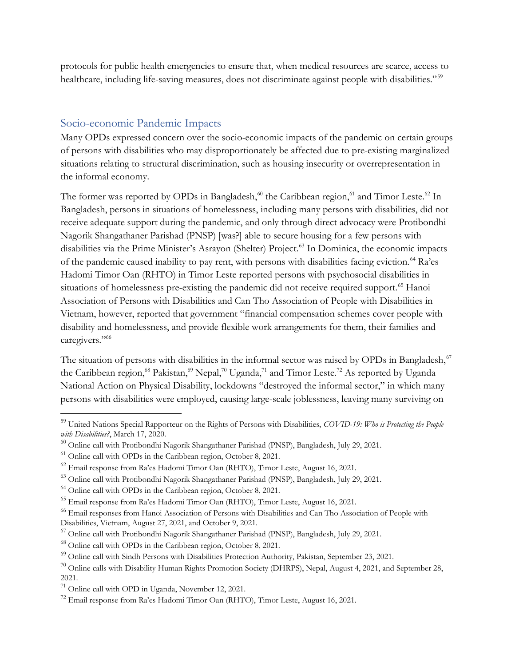protocols for public health emergencies to ensure that, when medical resources are scarce, access to healthcare, including life-saving measures, does not discriminate against people with disabilities."<sup>59</sup>

## Socio-economic Pandemic Impacts

Many OPDs expressed concern over the socio-economic impacts of the pandemic on certain groups of persons with disabilities who may disproportionately be affected due to pre-existing marginalized situations relating to structural discrimination, such as housing insecurity or overrepresentation in the informal economy.

The former was reported by OPDs in Bangladesh,<sup>60</sup> the Caribbean region,<sup>61</sup> and Timor Leste.<sup>62</sup> In Bangladesh, persons in situations of homelessness, including many persons with disabilities, did not receive adequate support during the pandemic, and only through direct advocacy were Protibondhi Nagorik Shangathaner Parishad (PNSP) [was?] able to secure housing for a few persons with disabilities via the Prime Minister's Asrayon (Shelter) Project.<sup>63</sup> In Dominica, the economic impacts of the pandemic caused inability to pay rent, with persons with disabilities facing eviction.<sup>64</sup> Ra'es Hadomi Timor Oan (RHTO) in Timor Leste reported persons with psychosocial disabilities in situations of homelessness pre-existing the pandemic did not receive required support.<sup>65</sup> Hanoi Association of Persons with Disabilities and Can Tho Association of People with Disabilities in Vietnam, however, reported that government "financial compensation schemes cover people with disability and homelessness, and provide flexible work arrangements for them, their families and caregivers."66

The situation of persons with disabilities in the informal sector was raised by OPDs in Bangladesh,<sup>67</sup> the Caribbean region,<sup>68</sup> Pakistan,<sup>69</sup> Nepal,<sup>70</sup> Uganda,<sup>71</sup> and Timor Leste.<sup>72</sup> As reported by Uganda National Action on Physical Disability, lockdowns "destroyed the informal sector," in which many persons with disabilities were employed, causing large-scale joblessness, leaving many surviving on

<sup>&</sup>lt;sup>59</sup> United Nations Special Rapporteur on the Rights of Persons with Disabilities, COVID-19: Who is Protecting the People with Disabilities?, March 17, 2020.

<sup>60</sup> Online call with Protibondhi Nagorik Shangathaner Parishad (PNSP), Bangladesh, July 29, 2021.

 $61$  Online call with OPDs in the Caribbean region, October 8, 2021.

<sup>62</sup> Email response from Ra'es Hadomi Timor Oan (RHTO), Timor Leste, August 16, 2021.

<sup>63</sup> Online call with Protibondhi Nagorik Shangathaner Parishad (PNSP), Bangladesh, July 29, 2021.

<sup>64</sup> Online call with OPDs in the Caribbean region, October 8, 2021.

<sup>65</sup> Email response from Ra'es Hadomi Timor Oan (RHTO), Timor Leste, August 16, 2021.

<sup>66</sup> Email responses from Hanoi Association of Persons with Disabilities and Can Tho Association of People with Disabilities, Vietnam, August 27, 2021, and October 9, 2021.

<sup>67</sup> Online call with Protibondhi Nagorik Shangathaner Parishad (PNSP), Bangladesh, July 29, 2021.

<sup>68</sup> Online call with OPDs in the Caribbean region, October 8, 2021.

<sup>69</sup> Online call with Sindh Persons with Disabilities Protection Authority, Pakistan, September 23, 2021.

 $^{70}$  Online calls with Disability Human Rights Promotion Society (DHRPS), Nepal, August 4, 2021, and September 28, 2021.

<sup>71</sup> Online call with OPD in Uganda, November 12, 2021.

<sup>72</sup> Email response from Ra'es Hadomi Timor Oan (RHTO), Timor Leste, August 16, 2021.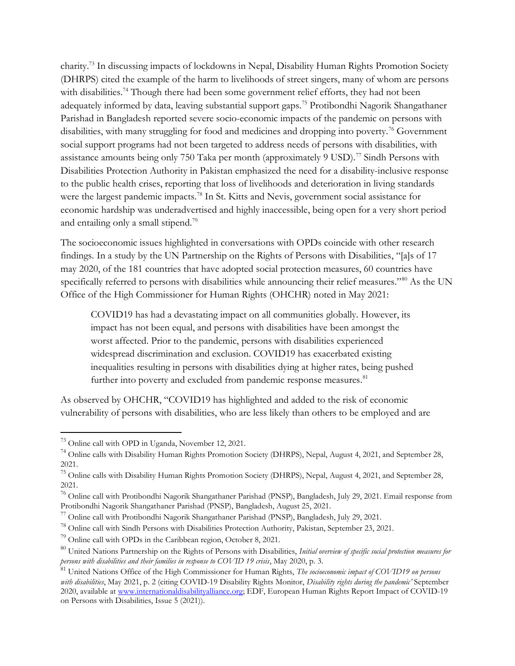charity.<sup>73</sup> In discussing impacts of lockdowns in Nepal, Disability Human Rights Promotion Society (DHRPS) cited the example of the harm to livelihoods of street singers, many of whom are persons with disabilities.<sup>74</sup> Though there had been some government relief efforts, they had not been adequately informed by data, leaving substantial support gaps.<sup>75</sup> Protibondhi Nagorik Shangathaner Parishad in Bangladesh reported severe socio-economic impacts of the pandemic on persons with disabilities, with many struggling for food and medicines and dropping into poverty.<sup>76</sup> Government social support programs had not been targeted to address needs of persons with disabilities, with assistance amounts being only 750 Taka per month (approximately 9 USD).<sup>77</sup> Sindh Persons with Disabilities Protection Authority in Pakistan emphasized the need for a disability-inclusive response to the public health crises, reporting that loss of livelihoods and deterioration in living standards were the largest pandemic impacts.<sup>78</sup> In St. Kitts and Nevis, government social assistance for economic hardship was underadvertised and highly inaccessible, being open for a very short period and entailing only a small stipend.<sup>79</sup>

The socioeconomic issues highlighted in conversations with OPDs coincide with other research findings. In a study by the UN Partnership on the Rights of Persons with Disabilities, "[a]s of 17 may 2020, of the 181 countries that have adopted social protection measures, 60 countries have specifically referred to persons with disabilities while announcing their relief measures."<sup>80</sup> As the UN Office of the High Commissioner for Human Rights (OHCHR) noted in May 2021:

COVID19 has had a devastating impact on all communities globally. However, its impact has not been equal, and persons with disabilities have been amongst the worst affected. Prior to the pandemic, persons with disabilities experienced widespread discrimination and exclusion. COVID19 has exacerbated existing inequalities resulting in persons with disabilities dying at higher rates, being pushed further into poverty and excluded from pandemic response measures.<sup>81</sup>

As observed by OHCHR, "COVID19 has highlighted and added to the risk of economic vulnerability of persons with disabilities, who are less likely than others to be employed and are

<sup>73</sup> Online call with OPD in Uganda, November 12, 2021.

<sup>&</sup>lt;sup>74</sup> Online calls with Disability Human Rights Promotion Society (DHRPS), Nepal, August 4, 2021, and September 28, 2021.

<sup>&</sup>lt;sup>75</sup> Online calls with Disability Human Rights Promotion Society (DHRPS), Nepal, August 4, 2021, and September 28, 2021.

<sup>76</sup> Online call with Protibondhi Nagorik Shangathaner Parishad (PNSP), Bangladesh, July 29, 2021. Email response from Protibondhi Nagorik Shangathaner Parishad (PNSP), Bangladesh, August 25, 2021.

<sup>77</sup> Online call with Protibondhi Nagorik Shangathaner Parishad (PNSP), Bangladesh, July 29, 2021.

<sup>78</sup> Online call with Sindh Persons with Disabilities Protection Authority, Pakistan, September 23, 2021.

<sup>79</sup> Online call with OPDs in the Caribbean region, October 8, 2021.

<sup>&</sup>lt;sup>80</sup> United Nations Partnership on the Rights of Persons with Disabilities, Initial overview of specific social protection measures for persons with disabilities and their families in response to COVID 19 crisis, May 2020, p. 3.

<sup>&</sup>lt;sup>81</sup> United Nations Office of the High Commissioner for Human Rights, The socioeconomic impact of COVID19 on persons with disabilities, May 2021, p. 2 (citing COVID-19 Disability Rights Monitor, Disability rights during the pandemic' September 2020, available at www.internationaldisabilityalliance.org; EDF, European Human Rights Report Impact of COVID-19 on Persons with Disabilities, Issue 5 (2021)).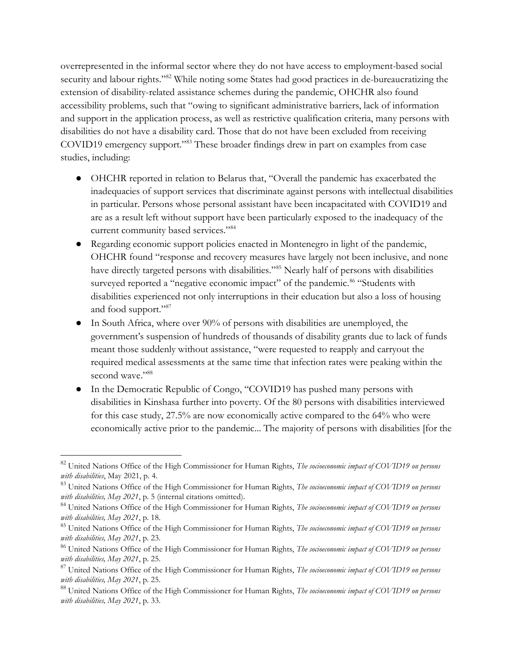overrepresented in the informal sector where they do not have access to employment-based social security and labour rights."<sup>82</sup> While noting some States had good practices in de-bureaucratizing the extension of disability-related assistance schemes during the pandemic, OHCHR also found accessibility problems, such that "owing to significant administrative barriers, lack of information and support in the application process, as well as restrictive qualification criteria, many persons with disabilities do not have a disability card. Those that do not have been excluded from receiving COVID19 emergency support."<sup>83</sup> These broader findings drew in part on examples from case studies, including:

- OHCHR reported in relation to Belarus that, "Overall the pandemic has exacerbated the inadequacies of support services that discriminate against persons with intellectual disabilities in particular. Persons whose personal assistant have been incapacitated with COVID19 and are as a result left without support have been particularly exposed to the inadequacy of the current community based services."<sup>84</sup>
- Regarding economic support policies enacted in Montenegro in light of the pandemic, OHCHR found "response and recovery measures have largely not been inclusive, and none have directly targeted persons with disabilities."<sup>85</sup> Nearly half of persons with disabilities surveyed reported a "negative economic impact" of the pandemic.<sup>86</sup> "Students with disabilities experienced not only interruptions in their education but also a loss of housing and food support."<sup>87</sup>
- In South Africa, where over 90% of persons with disabilities are unemployed, the government's suspension of hundreds of thousands of disability grants due to lack of funds meant those suddenly without assistance, "were requested to reapply and carryout the required medical assessments at the same time that infection rates were peaking within the second wave."88
- In the Democratic Republic of Congo, "COVID19 has pushed many persons with disabilities in Kinshasa further into poverty. Of the 80 persons with disabilities interviewed for this case study, 27.5% are now economically active compared to the 64% who were economically active prior to the pandemic... The majority of persons with disabilities [for the

<sup>&</sup>lt;sup>82</sup> United Nations Office of the High Commissioner for Human Rights, The socioeconomic impact of COVID19 on persons with disabilities, May 2021, p. 4.

 $83$  United Nations Office of the High Commissioner for Human Rights, The socioeconomic impact of COVID19 on persons with disabilities, May 2021, p. 5 (internal citations omitted).

<sup>&</sup>lt;sup>84</sup> United Nations Office of the High Commissioner for Human Rights, The socioeconomic impact of COVID19 on persons with disabilities, May 2021, p. 18.

<sup>&</sup>lt;sup>85</sup> United Nations Office of the High Commissioner for Human Rights, The socioeconomic impact of COVID19 on persons with disabilities, May 2021, p. 23.

<sup>&</sup>lt;sup>86</sup> United Nations Office of the High Commissioner for Human Rights, The socioeconomic impact of COVID19 on persons with disabilities, May 2021, p. 25.

 $87$  United Nations Office of the High Commissioner for Human Rights, The socioeconomic impact of COVID19 on persons with disabilities, May 2021, p. 25.

<sup>&</sup>lt;sup>88</sup> United Nations Office of the High Commissioner for Human Rights, The socioeconomic impact of COVID19 on persons with disabilities, May 2021, p. 33.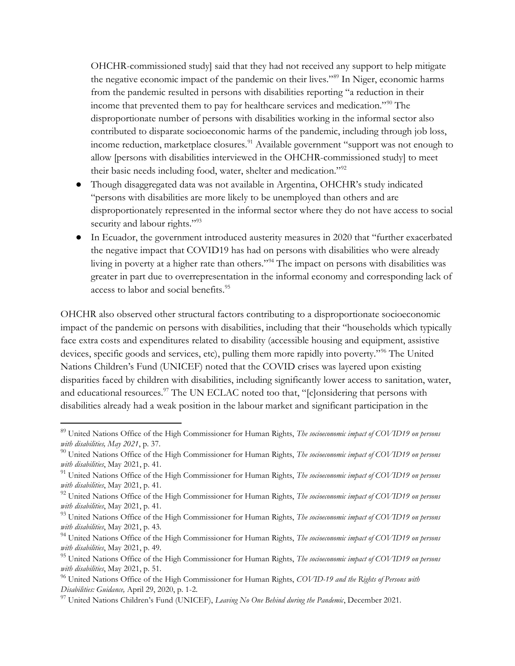OHCHR-commissioned study] said that they had not received any support to help mitigate the negative economic impact of the pandemic on their lives."<sup>89</sup> In Niger, economic harms from the pandemic resulted in persons with disabilities reporting "a reduction in their income that prevented them to pay for healthcare services and medication."<sup>90</sup> The disproportionate number of persons with disabilities working in the informal sector also contributed to disparate socioeconomic harms of the pandemic, including through job loss, income reduction, marketplace closures.<sup>91</sup> Available government "support was not enough to allow [persons with disabilities interviewed in the OHCHR-commissioned study] to meet their basic needs including food, water, shelter and medication."<sup>92</sup>

- Though disaggregated data was not available in Argentina, OHCHR's study indicated "persons with disabilities are more likely to be unemployed than others and are disproportionately represented in the informal sector where they do not have access to social security and labour rights."<sup>93</sup>
- In Ecuador, the government introduced austerity measures in 2020 that "further exacerbated the negative impact that COVID19 has had on persons with disabilities who were already living in poverty at a higher rate than others."<sup>94</sup> The impact on persons with disabilities was greater in part due to overrepresentation in the informal economy and corresponding lack of access to labor and social benefits.<sup>95</sup>

OHCHR also observed other structural factors contributing to a disproportionate socioeconomic impact of the pandemic on persons with disabilities, including that their "households which typically face extra costs and expenditures related to disability (accessible housing and equipment, assistive devices, specific goods and services, etc), pulling them more rapidly into poverty."<sup>96</sup> The United Nations Children's Fund (UNICEF) noted that the COVID crises was layered upon existing disparities faced by children with disabilities, including significantly lower access to sanitation, water, and educational resources.<sup>97</sup> The UN ECLAC noted too that, "[c]onsidering that persons with disabilities already had a weak position in the labour market and significant participation in the

<sup>&</sup>lt;sup>89</sup> United Nations Office of the High Commissioner for Human Rights, The socioeconomic impact of COVID19 on persons with disabilities, May 2021, p. 37.

 $90$  United Nations Office of the High Commissioner for Human Rights, The socioeconomic impact of COVID19 on persons with disabilities, May 2021, p. 41.

<sup>&</sup>lt;sup>91</sup> United Nations Office of the High Commissioner for Human Rights, The socioeconomic impact of COVID19 on persons with disabilities, May 2021, p. 41.

 $92$  United Nations Office of the High Commissioner for Human Rights, The socioeconomic impact of COVID19 on persons with disabilities, May 2021, p. 41.

<sup>&</sup>lt;sup>93</sup> United Nations Office of the High Commissioner for Human Rights, The socioeconomic impact of COVID19 on persons with disabilities, May 2021, p. 43.

<sup>&</sup>lt;sup>94</sup> United Nations Office of the High Commissioner for Human Rights, The socioeconomic impact of COVID19 on persons with disabilities, May 2021, p. 49.

<sup>&</sup>lt;sup>95</sup> United Nations Office of the High Commissioner for Human Rights, The socioeconomic impact of COVID19 on persons with disabilities, May 2021, p. 51.

<sup>&</sup>lt;sup>96</sup> United Nations Office of the High Commissioner for Human Rights, COVID-19 and the Rights of Persons with Disabilities: Guidance, April 29, 2020, p. 1-2.

<sup>&</sup>lt;sup>97</sup> United Nations Children's Fund (UNICEF), Leaving No One Behind during the Pandemic, December 2021.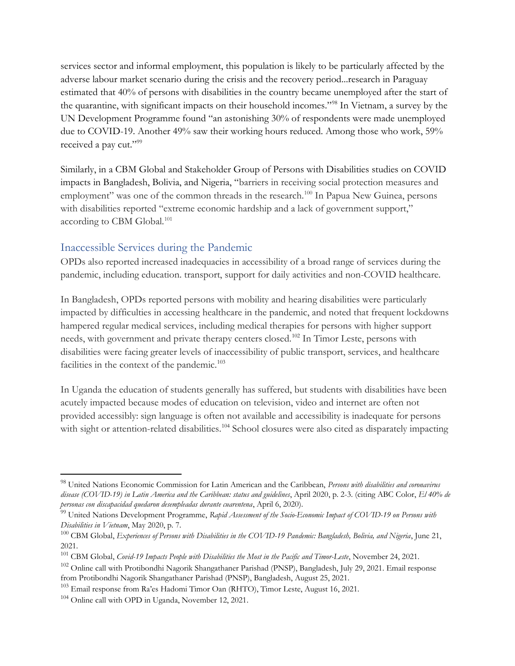services sector and informal employment, this population is likely to be particularly affected by the adverse labour market scenario during the crisis and the recovery period...research in Paraguay estimated that 40% of persons with disabilities in the country became unemployed after the start of the quarantine, with significant impacts on their household incomes."<sup>98</sup> In Vietnam, a survey by the UN Development Programme found "an astonishing 30% of respondents were made unemployed due to COVID-19. Another 49% saw their working hours reduced. Among those who work, 59% received a pay cut."<sup>99</sup>

Similarly, in a CBM Global and Stakeholder Group of Persons with Disabilities studies on COVID impacts in Bangladesh, Bolivia, and Nigeria, "barriers in receiving social protection measures and employment" was one of the common threads in the research.<sup>100</sup> In Papua New Guinea, persons with disabilities reported "extreme economic hardship and a lack of government support," according to CBM Global.<sup>101</sup>

# Inaccessible Services during the Pandemic

OPDs also reported increased inadequacies in accessibility of a broad range of services during the pandemic, including education. transport, support for daily activities and non-COVID healthcare.

In Bangladesh, OPDs reported persons with mobility and hearing disabilities were particularly impacted by difficulties in accessing healthcare in the pandemic, and noted that frequent lockdowns hampered regular medical services, including medical therapies for persons with higher support needs, with government and private therapy centers closed.<sup>102</sup> In Timor Leste, persons with disabilities were facing greater levels of inaccessibility of public transport, services, and healthcare facilities in the context of the pandemic.<sup>103</sup>

In Uganda the education of students generally has suffered, but students with disabilities have been acutely impacted because modes of education on television, video and internet are often not provided accessibly: sign language is often not available and accessibility is inadequate for persons with sight or attention-related disabilities.<sup>104</sup> School closures were also cited as disparately impacting

<sup>&</sup>lt;sup>98</sup> United Nations Economic Commission for Latin American and the Caribbean, Persons with disabilities and coronavirus disease (COVID-19) in Latin America and the Caribbean: status and guidelines, April 2020, p. 2-3. (citing ABC Color, El 40% de personas con discapacidad quedaron desempleadas durante cuarentena, April 6, 2020).

 $^{99}$  United Nations Development Programme, Rapid Assessment of the Socio-Economic Impact of COVID-19 on Persons with Disabilities in Vietnam, May 2020, p. 7.

 $^{100}$  CBM Global, Experiences of Persons with Disabilities in the COVID-19 Pandemic: Bangladesh, Bolivia, and Nigeria, June 21, 2021.

<sup>&</sup>lt;sup>101</sup> CBM Global, *Covid-19 Impacts People with Disabilities the Most in the Pacific and Timor-Leste*, November 24, 2021.

<sup>&</sup>lt;sup>102</sup> Online call with Protibondhi Nagorik Shangathaner Parishad (PNSP), Bangladesh, July 29, 2021. Email response from Protibondhi Nagorik Shangathaner Parishad (PNSP), Bangladesh, August 25, 2021.

<sup>103</sup> Email response from Ra'es Hadomi Timor Oan (RHTO), Timor Leste, August 16, 2021.

<sup>&</sup>lt;sup>104</sup> Online call with OPD in Uganda, November 12, 2021.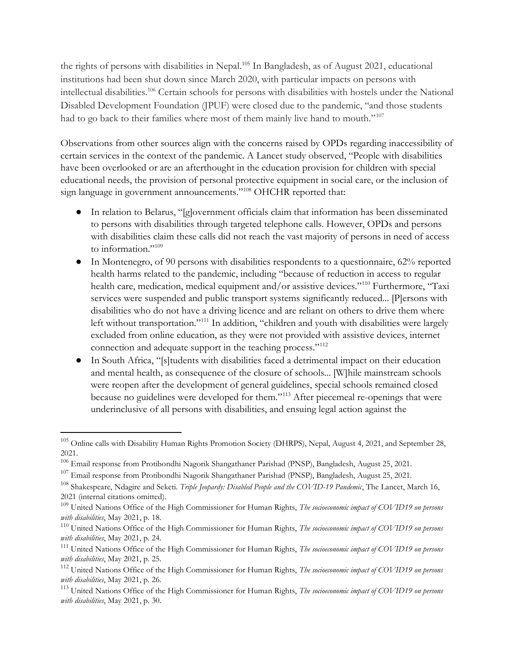the rights of persons with disabilities in Nepal.<sup>105</sup> In Bangladesh, as of August 2021, educational institutions had been shut down since March 2020, with particular impacts on persons with intellectual disabilities.<sup>106</sup> Certain schools for persons with disabilities with hostels under the National Disabled Development Foundation (JPUF) were closed due to the pandemic, "and those students had to go back to their families where most of them mainly live hand to mouth."<sup>107</sup>

Observations from other sources align with the concerns raised by OPDs regarding inaccessibility of certain services in the context of the pandemic. A Lancet study observed, "People with disabilities have been overlooked or are an afterthought in the education provision for children with special educational needs, the provision of personal protective equipment in social care, or the inclusion of sign language in government announcements."<sup>108</sup> OHCHR reported that:

- In relation to Belarus, "[g]overnment officials claim that information has been disseminated to persons with disabilities through targeted telephone calls. However, OPDs and persons with disabilities claim these calls did not reach the vast majority of persons in need of access to information."<sup>109</sup>
- $\bullet$  In Montenegro, of 90 persons with disabilities respondents to a questionnaire, 62% reported health harms related to the pandemic, including "because of reduction in access to regular health care, medication, medical equipment and/or assistive devices."<sup>110</sup> Furthermore, "Taxi services were suspended and public transport systems significantly reduced... [P]ersons with disabilities who do not have a driving licence and are reliant on others to drive them where left without transportation."<sup>111</sup> In addition, "children and youth with disabilities were largely excluded from online education, as they were not provided with assistive devices, internet connection and adequate support in the teaching process."<sup>112</sup>
- In South Africa, "[s]tudents with disabilities faced a detrimental impact on their education and mental health, as consequence of the closure of schools... [W]hile mainstream schools were reopen after the development of general guidelines, special schools remained closed because no guidelines were developed for them."<sup>113</sup> After piecemeal re-openings that were underinclusive of all persons with disabilities, and ensuing legal action against the

<sup>&</sup>lt;sup>105</sup> Online calls with Disability Human Rights Promotion Society (DHRPS), Nepal, August 4, 2021, and September 28, 2021.

<sup>106</sup> Email response from Protibondhi Nagorik Shangathaner Parishad (PNSP), Bangladesh, August 25, 2021.

<sup>&</sup>lt;sup>107</sup> Email response from Protibondhi Nagorik Shangathaner Parishad (PNSP), Bangladesh, August 25, 2021.

<sup>&</sup>lt;sup>108</sup> Shakespeare, Ndagire and Seketi. Triple Jeopardy: Disabled People and the COVID-19 Pandemic, The Lancet, March 16, 2021 (internal citations omitted).

 $109$  United Nations Office of the High Commissioner for Human Rights, The socioeconomic impact of COVID19 on persons with disabilities, May 2021, p. 18.

<sup>&</sup>lt;sup>110</sup> United Nations Office of the High Commissioner for Human Rights, The socioeconomic impact of COVID19 on persons with disabilities, May 2021, p. 24.

<sup>&</sup>lt;sup>111</sup> United Nations Office of the High Commissioner for Human Rights, The socioeconomic impact of COVID19 on persons with disabilities, May 2021, p. 25.

<sup>&</sup>lt;sup>112</sup> United Nations Office of the High Commissioner for Human Rights, *The socioeconomic impact of COVID19 on persons* with disabilities, May 2021, p. 26.

<sup>&</sup>lt;sup>113</sup> United Nations Office of the High Commissioner for Human Rights, *The socioeconomic impact of COVID19 on persons* with disabilities, May 2021, p. 30.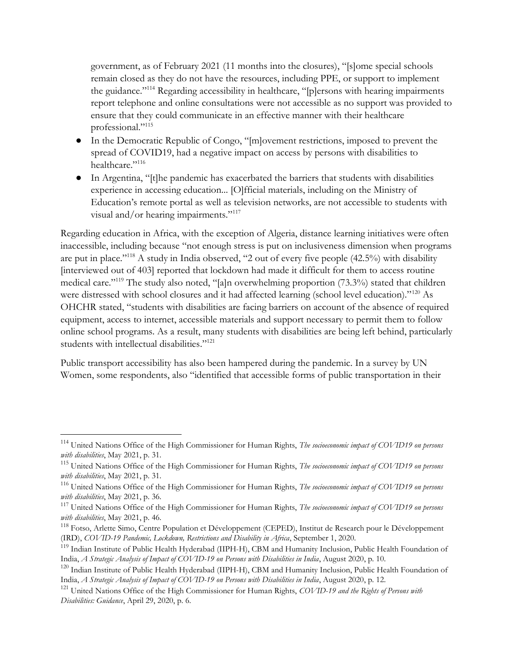government, as of February 2021 (11 months into the closures), "[s]ome special schools remain closed as they do not have the resources, including PPE, or support to implement the guidance."<sup>114</sup> Regarding accessibility in healthcare, "[p]ersons with hearing impairments report telephone and online consultations were not accessible as no support was provided to ensure that they could communicate in an effective manner with their healthcare professional."<sup>115</sup>

- In the Democratic Republic of Congo, "[m]ovement restrictions, imposed to prevent the spread of COVID19, had a negative impact on access by persons with disabilities to healthcare."<sup>116</sup>
- In Argentina, "[t]he pandemic has exacerbated the barriers that students with disabilities experience in accessing education... [O]fficial materials, including on the Ministry of Education's remote portal as well as television networks, are not accessible to students with visual and/or hearing impairments."<sup>117</sup>

Regarding education in Africa, with the exception of Algeria, distance learning initiatives were often inaccessible, including because "not enough stress is put on inclusiveness dimension when programs are put in place."<sup>118</sup> A study in India observed, "2 out of every five people (42.5%) with disability [interviewed out of 403] reported that lockdown had made it difficult for them to access routine medical care."<sup>119</sup> The study also noted, "[a]n overwhelming proportion (73.3%) stated that children were distressed with school closures and it had affected learning (school level education)."<sup>120</sup> As OHCHR stated, "students with disabilities are facing barriers on account of the absence of required equipment, access to internet, accessible materials and support necessary to permit them to follow online school programs. As a result, many students with disabilities are being left behind, particularly students with intellectual disabilities."<sup>121</sup>

Public transport accessibility has also been hampered during the pandemic. In a survey by UN Women, some respondents, also "identified that accessible forms of public transportation in their

<sup>&</sup>lt;sup>114</sup> United Nations Office of the High Commissioner for Human Rights, *The socioeconomic impact of COVID19 on persons* with disabilities, May 2021, p. 31.

<sup>&</sup>lt;sup>115</sup> United Nations Office of the High Commissioner for Human Rights, The socioeconomic impact of COVID19 on persons with disabilities, May 2021, p. 31.

<sup>&</sup>lt;sup>116</sup> United Nations Office of the High Commissioner for Human Rights, *The socioeconomic impact of COVID19 on persons* with disabilities, May 2021, p. 36.

 $117$  United Nations Office of the High Commissioner for Human Rights, The socioeconomic impact of COVID19 on persons with disabilities, May 2021, p. 46.

<sup>&</sup>lt;sup>118</sup> Fotso, Arlette Simo, Centre Population et Développement (CEPED), Institut de Research pour le Développement (IRD), COVID-19 Pandemic, Lockdown, Restrictions and Disability in Africa, September 1, 2020.

<sup>&</sup>lt;sup>119</sup> Indian Institute of Public Health Hyderabad (IIPH-H), CBM and Humanity Inclusion, Public Health Foundation of India, A Strategic Analysis of Impact of COVID-19 on Persons with Disabilities in India, August 2020, p. 10.

<sup>&</sup>lt;sup>120</sup> Indian Institute of Public Health Hyderabad (IIPH-H), CBM and Humanity Inclusion, Public Health Foundation of India, A Strategic Analysis of Impact of COVID-19 on Persons with Disabilities in India, August 2020, p. 12.

<sup>&</sup>lt;sup>121</sup> United Nations Office of the High Commissioner for Human Rights, COVID-19 and the Rights of Persons with Disabilities: Guidance, April 29, 2020, p. 6.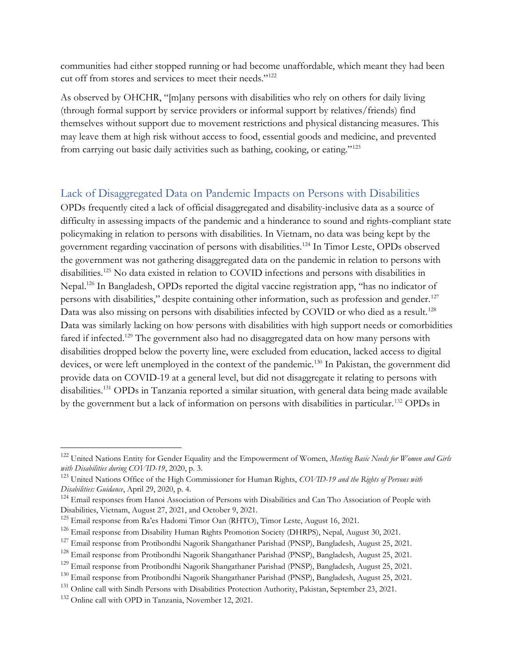communities had either stopped running or had become unaffordable, which meant they had been cut off from stores and services to meet their needs."<sup>122</sup>

As observed by OHCHR, "[m]any persons with disabilities who rely on others for daily living (through formal support by service providers or informal support by relatives/friends) find themselves without support due to movement restrictions and physical distancing measures. This may leave them at high risk without access to food, essential goods and medicine, and prevented from carrying out basic daily activities such as bathing, cooking, or eating."<sup>123</sup>

## Lack of Disaggregated Data on Pandemic Impacts on Persons with Disabilities

OPDs frequently cited a lack of official disaggregated and disability-inclusive data as a source of difficulty in assessing impacts of the pandemic and a hinderance to sound and rights-compliant state policymaking in relation to persons with disabilities. In Vietnam, no data was being kept by the government regarding vaccination of persons with disabilities.<sup>124</sup> In Timor Leste, OPDs observed the government was not gathering disaggregated data on the pandemic in relation to persons with disabilities.<sup>125</sup> No data existed in relation to COVID infections and persons with disabilities in Nepal.<sup>126</sup> In Bangladesh, OPDs reported the digital vaccine registration app, "has no indicator of persons with disabilities," despite containing other information, such as profession and gender.<sup>127</sup> Data was also missing on persons with disabilities infected by COVID or who died as a result.<sup>128</sup> Data was similarly lacking on how persons with disabilities with high support needs or comorbidities fared if infected.<sup>129</sup> The government also had no disaggregated data on how many persons with disabilities dropped below the poverty line, were excluded from education, lacked access to digital devices, or were left unemployed in the context of the pandemic.<sup>130</sup> In Pakistan, the government did provide data on COVID-19 at a general level, but did not disaggregate it relating to persons with disabilities.<sup>131</sup> OPDs in Tanzania reported a similar situation, with general data being made available by the government but a lack of information on persons with disabilities in particular.<sup>132</sup> OPDs in

<sup>128</sup> Email response from Protibondhi Nagorik Shangathaner Parishad (PNSP), Bangladesh, August 25, 2021.

<sup>&</sup>lt;sup>122</sup> United Nations Entity for Gender Equality and the Empowerment of Women, Meeting Basic Needs for Women and Girls with Disabilities during COVID-19, 2020, p. 3.

<sup>&</sup>lt;sup>123</sup> United Nations Office of the High Commissioner for Human Rights, COVID-19 and the Rights of Persons with Disabilities: Guidance, April 29, 2020, p. 4.

<sup>&</sup>lt;sup>124</sup> Email responses from Hanoi Association of Persons with Disabilities and Can Tho Association of People with Disabilities, Vietnam, August 27, 2021, and October 9, 2021.

<sup>&</sup>lt;sup>125</sup> Email response from Ra'es Hadomi Timor Oan (RHTO), Timor Leste, August 16, 2021.

<sup>&</sup>lt;sup>126</sup> Email response from Disability Human Rights Promotion Society (DHRPS), Nepal, August 30, 2021.

<sup>&</sup>lt;sup>127</sup> Email response from Protibondhi Nagorik Shangathaner Parishad (PNSP), Bangladesh, August 25, 2021.

<sup>129</sup> Email response from Protibondhi Nagorik Shangathaner Parishad (PNSP), Bangladesh, August 25, 2021.

<sup>130</sup> Email response from Protibondhi Nagorik Shangathaner Parishad (PNSP), Bangladesh, August 25, 2021.

<sup>&</sup>lt;sup>131</sup> Online call with Sindh Persons with Disabilities Protection Authority, Pakistan, September 23, 2021.

<sup>132</sup> Online call with OPD in Tanzania, November 12, 2021.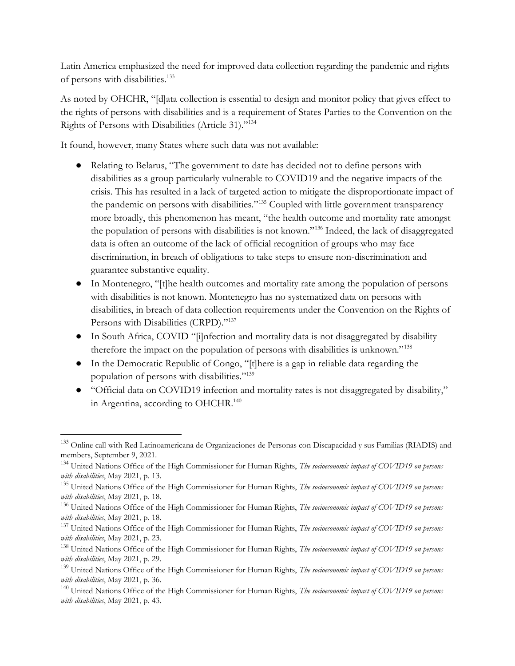Latin America emphasized the need for improved data collection regarding the pandemic and rights of persons with disabilities.<sup>133</sup>

As noted by OHCHR, "[d]ata collection is essential to design and monitor policy that gives effect to the rights of persons with disabilities and is a requirement of States Parties to the Convention on the Rights of Persons with Disabilities (Article 31)."<sup>134</sup>

It found, however, many States where such data was not available:

- Relating to Belarus, "The government to date has decided not to define persons with disabilities as a group particularly vulnerable to COVID19 and the negative impacts of the crisis. This has resulted in a lack of targeted action to mitigate the disproportionate impact of the pandemic on persons with disabilities."<sup>135</sup> Coupled with little government transparency more broadly, this phenomenon has meant, "the health outcome and mortality rate amongst the population of persons with disabilities is not known."<sup>136</sup> Indeed, the lack of disaggregated data is often an outcome of the lack of official recognition of groups who may face discrimination, in breach of obligations to take steps to ensure non-discrimination and guarantee substantive equality.
- In Montenegro, "[t]he health outcomes and mortality rate among the population of persons with disabilities is not known. Montenegro has no systematized data on persons with disabilities, in breach of data collection requirements under the Convention on the Rights of Persons with Disabilities (CRPD)."137
- In South Africa, COVID "[i]nfection and mortality data is not disaggregated by disability therefore the impact on the population of persons with disabilities is unknown."<sup>138</sup>
- In the Democratic Republic of Congo, "[t]here is a gap in reliable data regarding the population of persons with disabilities."<sup>139</sup>
- "Official data on COVID19 infection and mortality rates is not disaggregated by disability," in Argentina, according to OHCHR.<sup>140</sup>

<sup>133</sup> Online call with Red Latinoamericana de Organizaciones de Personas con Discapacidad y sus Familias (RIADIS) and members, September 9, 2021.

<sup>&</sup>lt;sup>134</sup> United Nations Office of the High Commissioner for Human Rights, The socioeconomic impact of COVID19 on persons with disabilities, May 2021, p. 13.

<sup>&</sup>lt;sup>135</sup> United Nations Office of the High Commissioner for Human Rights, *The socioeconomic impact of COVID19 on persons* with disabilities, May 2021, p. 18.

<sup>&</sup>lt;sup>136</sup> United Nations Office of the High Commissioner for Human Rights, *The socioeconomic impact of COVID19 on persons* with disabilities, May 2021, p. 18.

<sup>&</sup>lt;sup>137</sup> United Nations Office of the High Commissioner for Human Rights, The socioeconomic impact of COVID19 on persons with disabilities, May 2021, p. 23.

<sup>&</sup>lt;sup>138</sup> United Nations Office of the High Commissioner for Human Rights, The socioeconomic impact of COVID19 on persons with disabilities, May 2021, p. 29.

 $139$  United Nations Office of the High Commissioner for Human Rights, *The socioeconomic impact of COVID19 on persons* with disabilities, May 2021, p. 36.

<sup>&</sup>lt;sup>140</sup> United Nations Office of the High Commissioner for Human Rights, The socioeconomic impact of COVID19 on persons with disabilities, May 2021, p. 43.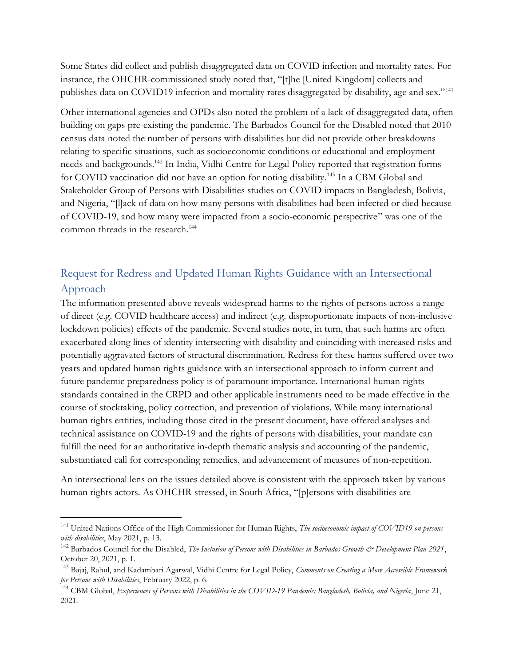Some States did collect and publish disaggregated data on COVID infection and mortality rates. For instance, the OHCHR-commissioned study noted that, "[t]he [United Kingdom] collects and publishes data on COVID19 infection and mortality rates disaggregated by disability, age and sex."<sup>141</sup>

Other international agencies and OPDs also noted the problem of a lack of disaggregated data, often building on gaps pre-existing the pandemic. The Barbados Council for the Disabled noted that 2010 census data noted the number of persons with disabilities but did not provide other breakdowns relating to specific situations, such as socioeconomic conditions or educational and employment needs and backgrounds.<sup>142</sup> In India, Vidhi Centre for Legal Policy reported that registration forms for COVID vaccination did not have an option for noting disability.<sup>143</sup> In a CBM Global and Stakeholder Group of Persons with Disabilities studies on COVID impacts in Bangladesh, Bolivia, and Nigeria, "[l]ack of data on how many persons with disabilities had been infected or died because of COVID-19, and how many were impacted from a socio-economic perspective" was one of the common threads in the research.<sup>144</sup>

# Request for Redress and Updated Human Rights Guidance with an Intersectional Approach

The information presented above reveals widespread harms to the rights of persons across a range of direct (e.g. COVID healthcare access) and indirect (e.g. disproportionate impacts of non-inclusive lockdown policies) effects of the pandemic. Several studies note, in turn, that such harms are often exacerbated along lines of identity intersecting with disability and coinciding with increased risks and potentially aggravated factors of structural discrimination. Redress for these harms suffered over two years and updated human rights guidance with an intersectional approach to inform current and future pandemic preparedness policy is of paramount importance. International human rights standards contained in the CRPD and other applicable instruments need to be made effective in the course of stocktaking, policy correction, and prevention of violations. While many international human rights entities, including those cited in the present document, have offered analyses and technical assistance on COVID-19 and the rights of persons with disabilities, your mandate can fulfill the need for an authoritative in-depth thematic analysis and accounting of the pandemic, substantiated call for corresponding remedies, and advancement of measures of non-repetition.

An intersectional lens on the issues detailed above is consistent with the approach taken by various human rights actors. As OHCHR stressed, in South Africa, "[p]ersons with disabilities are

<sup>&</sup>lt;sup>141</sup> United Nations Office of the High Commissioner for Human Rights, The socioeconomic impact of COVID19 on persons with disabilities, May 2021, p. 13.

 $142$  Barbados Council for the Disabled, The Inclusion of Persons with Disabilities in Barbados Growth  $\dot{\mathcal{C}}$  Development Plan 2021, October 20, 2021, p. 1.

<sup>&</sup>lt;sup>143</sup> Bajaj, Rahul, and Kadambari Agarwal, Vidhi Centre for Legal Policy, Comments on Creating a More Accessible Framework for Persons with Disabilities, February 2022, p. 6.

<sup>&</sup>lt;sup>144</sup> CBM Global, Experiences of Persons with Disabilities in the COVID-19 Pandemic: Bangladesh, Bolivia, and Nigeria, June 21, 2021.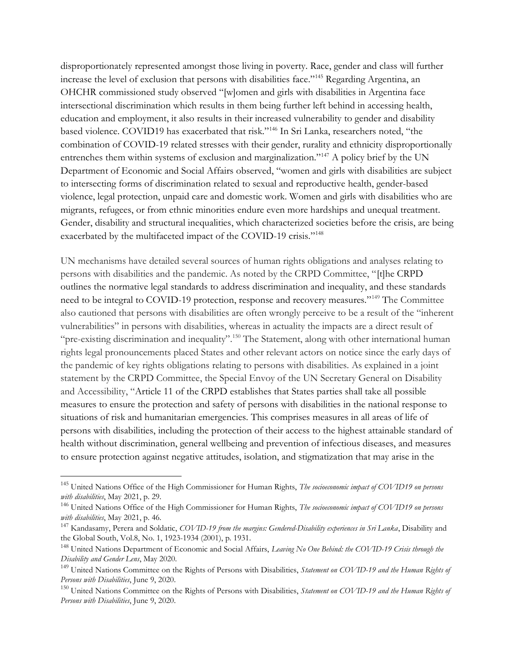disproportionately represented amongst those living in poverty. Race, gender and class will further increase the level of exclusion that persons with disabilities face."<sup>145</sup> Regarding Argentina, an OHCHR commissioned study observed "[w]omen and girls with disabilities in Argentina face intersectional discrimination which results in them being further left behind in accessing health, education and employment, it also results in their increased vulnerability to gender and disability based violence. COVID19 has exacerbated that risk."<sup>146</sup> In Sri Lanka, researchers noted, "the combination of COVID-19 related stresses with their gender, rurality and ethnicity disproportionally entrenches them within systems of exclusion and marginalization."<sup>147</sup> A policy brief by the UN Department of Economic and Social Affairs observed, "women and girls with disabilities are subject to intersecting forms of discrimination related to sexual and reproductive health, gender-based violence, legal protection, unpaid care and domestic work. Women and girls with disabilities who are migrants, refugees, or from ethnic minorities endure even more hardships and unequal treatment. Gender, disability and structural inequalities, which characterized societies before the crisis, are being exacerbated by the multifaceted impact of the COVID-19 crisis."<sup>148</sup>

UN mechanisms have detailed several sources of human rights obligations and analyses relating to persons with disabilities and the pandemic. As noted by the CRPD Committee, "[t]he CRPD outlines the normative legal standards to address discrimination and inequality, and these standards need to be integral to COVID-19 protection, response and recovery measures."<sup>149</sup> The Committee also cautioned that persons with disabilities are often wrongly perceive to be a result of the "inherent vulnerabilities" in persons with disabilities, whereas in actuality the impacts are a direct result of "pre-existing discrimination and inequality".<sup>150</sup> The Statement, along with other international human rights legal pronouncements placed States and other relevant actors on notice since the early days of the pandemic of key rights obligations relating to persons with disabilities. As explained in a joint statement by the CRPD Committee, the Special Envoy of the UN Secretary General on Disability and Accessibility, "Article 11 of the CRPD establishes that States parties shall take all possible measures to ensure the protection and safety of persons with disabilities in the national response to situations of risk and humanitarian emergencies. This comprises measures in all areas of life of persons with disabilities, including the protection of their access to the highest attainable standard of health without discrimination, general wellbeing and prevention of infectious diseases, and measures to ensure protection against negative attitudes, isolation, and stigmatization that may arise in the

<sup>&</sup>lt;sup>145</sup> United Nations Office of the High Commissioner for Human Rights, The socioeconomic impact of COVID19 on persons with disabilities, May 2021, p. 29.

<sup>&</sup>lt;sup>146</sup> United Nations Office of the High Commissioner for Human Rights, The socioeconomic impact of COVID19 on persons with disabilities, May 2021, p. 46.

<sup>&</sup>lt;sup>147</sup> Kandasamy, Perera and Soldatic, COVID-19 from the margins: Gendered-Disability experiences in Sri Lanka, Disability and the Global South, Vol.8, No. 1, 1923-1934 (2001), p. 1931.

<sup>&</sup>lt;sup>148</sup> United Nations Department of Economic and Social Affairs, Leaving No One Behind: the COVID-19 Crisis through the Disability and Gender Lens, May 2020.

<sup>&</sup>lt;sup>149</sup> United Nations Committee on the Rights of Persons with Disabilities, Statement on COVID-19 and the Human Rights of Persons with Disabilities, June 9, 2020.

<sup>&</sup>lt;sup>150</sup> United Nations Committee on the Rights of Persons with Disabilities, Statement on COVID-19 and the Human Rights of Persons with Disabilities, June 9, 2020.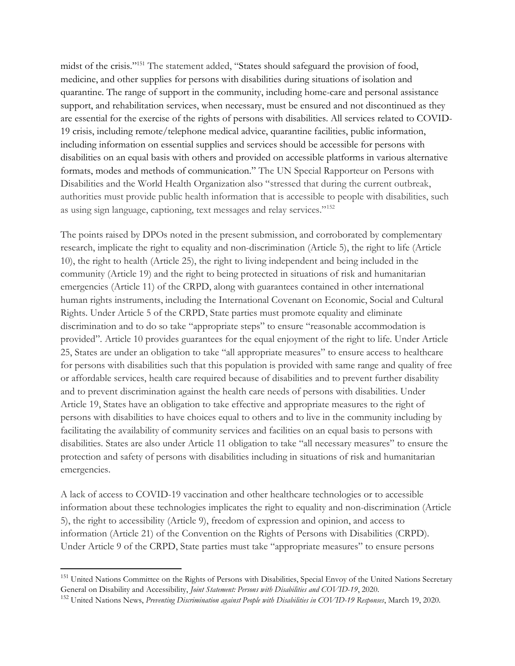midst of the crisis."<sup>151</sup> The statement added, "States should safeguard the provision of food, medicine, and other supplies for persons with disabilities during situations of isolation and quarantine. The range of support in the community, including home-care and personal assistance support, and rehabilitation services, when necessary, must be ensured and not discontinued as they are essential for the exercise of the rights of persons with disabilities. All services related to COVID-19 crisis, including remote/telephone medical advice, quarantine facilities, public information, including information on essential supplies and services should be accessible for persons with disabilities on an equal basis with others and provided on accessible platforms in various alternative formats, modes and methods of communication." The UN Special Rapporteur on Persons with Disabilities and the World Health Organization also "stressed that during the current outbreak, authorities must provide public health information that is accessible to people with disabilities, such as using sign language, captioning, text messages and relay services."<sup>152</sup>

The points raised by DPOs noted in the present submission, and corroborated by complementary research, implicate the right to equality and non-discrimination (Article 5), the right to life (Article 10), the right to health (Article 25), the right to living independent and being included in the community (Article 19) and the right to being protected in situations of risk and humanitarian emergencies (Article 11) of the CRPD, along with guarantees contained in other international human rights instruments, including the International Covenant on Economic, Social and Cultural Rights. Under Article 5 of the CRPD, State parties must promote equality and eliminate discrimination and to do so take "appropriate steps" to ensure "reasonable accommodation is provided". Article 10 provides guarantees for the equal enjoyment of the right to life. Under Article 25, States are under an obligation to take "all appropriate measures" to ensure access to healthcare for persons with disabilities such that this population is provided with same range and quality of free or affordable services, health care required because of disabilities and to prevent further disability and to prevent discrimination against the health care needs of persons with disabilities. Under Article 19, States have an obligation to take effective and appropriate measures to the right of persons with disabilities to have choices equal to others and to live in the community including by facilitating the availability of community services and facilities on an equal basis to persons with disabilities. States are also under Article 11 obligation to take "all necessary measures" to ensure the protection and safety of persons with disabilities including in situations of risk and humanitarian emergencies.

A lack of access to COVID-19 vaccination and other healthcare technologies or to accessible information about these technologies implicates the right to equality and non-discrimination (Article 5), the right to accessibility (Article 9), freedom of expression and opinion, and access to information (Article 21) of the Convention on the Rights of Persons with Disabilities (CRPD). Under Article 9 of the CRPD, State parties must take "appropriate measures" to ensure persons

<sup>&</sup>lt;sup>151</sup> United Nations Committee on the Rights of Persons with Disabilities, Special Envoy of the United Nations Secretary General on Disability and Accessibility, Joint Statement: Persons with Disabilities and COVID-19, 2020.

<sup>&</sup>lt;sup>152</sup> United Nations News, Preventing Discrimination against People with Disabilities in COVID-19 Responses, March 19, 2020.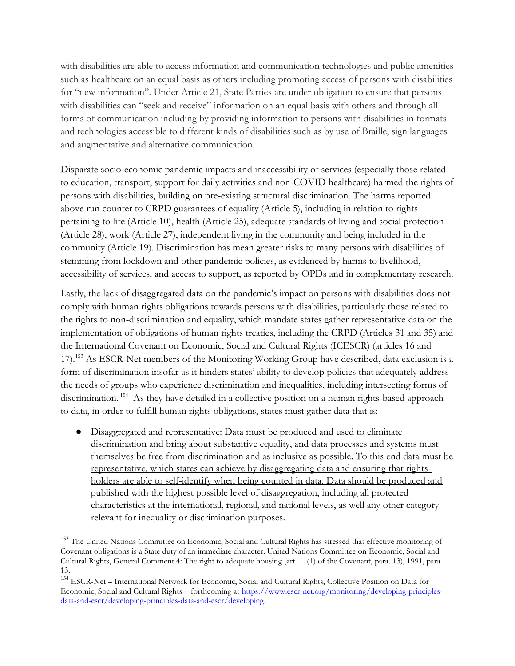with disabilities are able to access information and communication technologies and public amenities such as healthcare on an equal basis as others including promoting access of persons with disabilities for "new information". Under Article 21, State Parties are under obligation to ensure that persons with disabilities can "seek and receive" information on an equal basis with others and through all forms of communication including by providing information to persons with disabilities in formats and technologies accessible to different kinds of disabilities such as by use of Braille, sign languages and augmentative and alternative communication.

Disparate socio-economic pandemic impacts and inaccessibility of services (especially those related to education, transport, support for daily activities and non-COVID healthcare) harmed the rights of persons with disabilities, building on pre-existing structural discrimination. The harms reported above run counter to CRPD guarantees of equality (Article 5), including in relation to rights pertaining to life (Article 10), health (Article 25), adequate standards of living and social protection (Article 28), work (Article 27), independent living in the community and being included in the community (Article 19). Discrimination has mean greater risks to many persons with disabilities of stemming from lockdown and other pandemic policies, as evidenced by harms to livelihood, accessibility of services, and access to support, as reported by OPDs and in complementary research.

Lastly, the lack of disaggregated data on the pandemic's impact on persons with disabilities does not comply with human rights obligations towards persons with disabilities, particularly those related to the rights to non-discrimination and equality, which mandate states gather representative data on the implementation of obligations of human rights treaties, including the CRPD (Articles 31 and 35) and the International Covenant on Economic, Social and Cultural Rights (ICESCR) (articles 16 and 17).<sup>153</sup> As ESCR-Net members of the Monitoring Working Group have described, data exclusion is a form of discrimination insofar as it hinders states' ability to develop policies that adequately address the needs of groups who experience discrimination and inequalities, including intersecting forms of discrimination.<sup>154</sup> As they have detailed in a collective position on a human rights-based approach to data, in order to fulfill human rights obligations, states must gather data that is:

● Disaggregated and representative: Data must be produced and used to eliminate discrimination and bring about substantive equality, and data processes and systems must themselves be free from discrimination and as inclusive as possible. To this end data must be representative, which states can achieve by disaggregating data and ensuring that rightsholders are able to self-identify when being counted in data. Data should be produced and published with the highest possible level of disaggregation, including all protected characteristics at the international, regional, and national levels, as well any other category relevant for inequality or discrimination purposes.

<sup>&</sup>lt;sup>153</sup> The United Nations Committee on Economic, Social and Cultural Rights has stressed that effective monitoring of Covenant obligations is a State duty of an immediate character. United Nations Committee on Economic, Social and Cultural Rights, General Comment 4: The right to adequate housing (art. 11(1) of the Covenant, para. 13), 1991, para. 13.

<sup>154</sup> ESCR-Net – International Network for Economic, Social and Cultural Rights, Collective Position on Data for Economic, Social and Cultural Rights – forthcoming at https://www.escr-net.org/monitoring/developing-principlesdata-and-escr/developing-principles-data-and-escr/developing.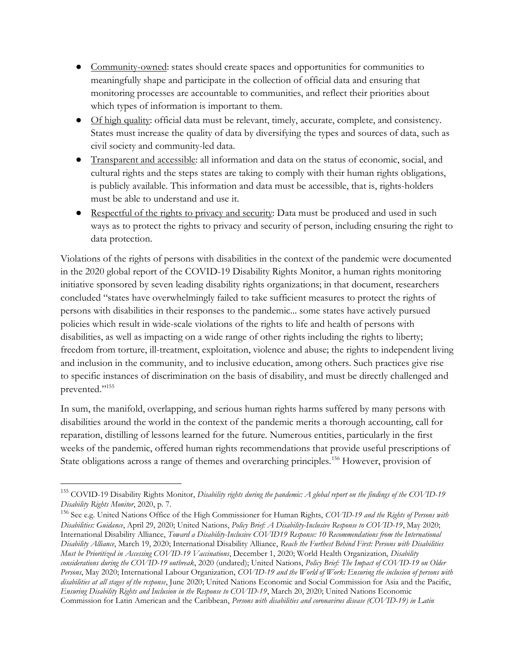- Community-owned: states should create spaces and opportunities for communities to meaningfully shape and participate in the collection of official data and ensuring that monitoring processes are accountable to communities, and reflect their priorities about which types of information is important to them.
- Of high quality: official data must be relevant, timely, accurate, complete, and consistency. States must increase the quality of data by diversifying the types and sources of data, such as civil society and community-led data.
- Transparent and accessible: all information and data on the status of economic, social, and cultural rights and the steps states are taking to comply with their human rights obligations, is publicly available. This information and data must be accessible, that is, rights-holders must be able to understand and use it.
- Respectful of the rights to privacy and security: Data must be produced and used in such ways as to protect the rights to privacy and security of person, including ensuring the right to data protection.

Violations of the rights of persons with disabilities in the context of the pandemic were documented in the 2020 global report of the COVID-19 Disability Rights Monitor, a human rights monitoring initiative sponsored by seven leading disability rights organizations; in that document, researchers concluded "states have overwhelmingly failed to take sufficient measures to protect the rights of persons with disabilities in their responses to the pandemic... some states have actively pursued policies which result in wide-scale violations of the rights to life and health of persons with disabilities, as well as impacting on a wide range of other rights including the rights to liberty; freedom from torture, ill-treatment, exploitation, violence and abuse; the rights to independent living and inclusion in the community, and to inclusive education, among others. Such practices give rise to specific instances of discrimination on the basis of disability, and must be directly challenged and prevented."<sup>155</sup>

In sum, the manifold, overlapping, and serious human rights harms suffered by many persons with disabilities around the world in the context of the pandemic merits a thorough accounting, call for reparation, distilling of lessons learned for the future. Numerous entities, particularly in the first weeks of the pandemic, offered human rights recommendations that provide useful prescriptions of State obligations across a range of themes and overarching principles.<sup>156</sup> However, provision of

 $155$  COVID-19 Disability Rights Monitor, Disability rights during the pandemic: A global report on the findings of the COVID-19 Disability Rights Monitor, 2020, p. 7.

<sup>&</sup>lt;sup>156</sup> See e.g. United Nations Office of the High Commissioner for Human Rights, COVID-19 and the Rights of Persons with Disabilities: Guidance, April 29, 2020; United Nations, Policy Brief: A Disability-Inclusive Response to COVID-19, May 2020; International Disability Alliance, Toward a Disability-Inclusive COVID19 Response: 10 Recommendations from the International Disability Alliance, March 19, 2020; International Disability Alliance, Reach the Furthest Behind First: Persons with Disabilities Must be Prioritized in Accessing COVID-19 Vaccinations, December 1, 2020; World Health Organization, Disability considerations during the COVID-19 outbreak, 2020 (undated); United Nations, Policy Brief: The Impact of COVID-19 on Older Persons, May 2020; International Labour Organization, COVID-19 and the World of Work: Ensuring the inclusion of persons with disabilities at all stages of the response, June 2020; United Nations Economic and Social Commission for Asia and the Pacific, Ensuring Disability Rights and Inclusion in the Response to COVID-19, March 20, 2020; United Nations Economic Commission for Latin American and the Caribbean, Persons with disabilities and coronavirus disease (COVID-19) in Latin